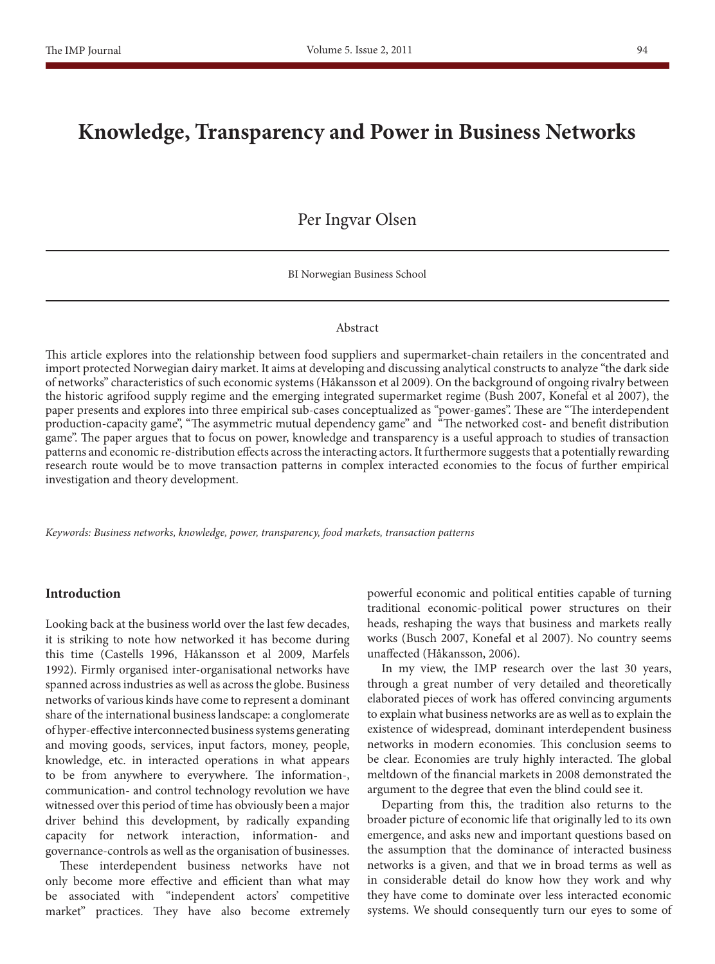# **Knowledge, Transparency and Power in Business Networks**

# Per Ingvar Olsen

BI Norwegian Business School

#### Abstract

This article explores into the relationship between food suppliers and supermarket-chain retailers in the concentrated and import protected Norwegian dairy market. It aims at developing and discussing analytical constructs to analyze "the dark side of networks" characteristics of such economic systems (Håkansson et al 2009). On the background of ongoing rivalry between the historic agrifood supply regime and the emerging integrated supermarket regime (Bush 2007, Konefal et al 2007), the paper presents and explores into three empirical sub-cases conceptualized as "power-games". These are "The interdependent production-capacity game", "The asymmetric mutual dependency game" and "The networked cost- and benefit distribution game". The paper argues that to focus on power, knowledge and transparency is a useful approach to studies of transaction patterns and economic re-distribution effects across the interacting actors. It furthermore suggests that a potentially rewarding research route would be to move transaction patterns in complex interacted economies to the focus of further empirical investigation and theory development.

*Keywords: Business networks, knowledge, power, transparency, food markets, transaction patterns*

### **Introduction**

Looking back at the business world over the last few decades, it is striking to note how networked it has become during this time (Castells 1996, Håkansson et al 2009, Marfels 1992). Firmly organised inter-organisational networks have spanned across industries as well as across the globe. Business networks of various kinds have come to represent a dominant share of the international business landscape: a conglomerate of hyper-effective interconnected business systems generating and moving goods, services, input factors, money, people, knowledge, etc. in interacted operations in what appears to be from anywhere to everywhere. The information-, communication- and control technology revolution we have witnessed over this period of time has obviously been a major driver behind this development, by radically expanding capacity for network interaction, information- and governance-controls as well as the organisation of businesses.

These interdependent business networks have not only become more effective and efficient than what may be associated with "independent actors' competitive market" practices. They have also become extremely powerful economic and political entities capable of turning traditional economic-political power structures on their heads, reshaping the ways that business and markets really works (Busch 2007, Konefal et al 2007). No country seems unaffected (Håkansson, 2006).

In my view, the IMP research over the last 30 years, through a great number of very detailed and theoretically elaborated pieces of work has offered convincing arguments to explain what business networks are as well as to explain the existence of widespread, dominant interdependent business networks in modern economies. This conclusion seems to be clear. Economies are truly highly interacted. The global meltdown of the financial markets in 2008 demonstrated the argument to the degree that even the blind could see it.

Departing from this, the tradition also returns to the broader picture of economic life that originally led to its own emergence, and asks new and important questions based on the assumption that the dominance of interacted business networks is a given, and that we in broad terms as well as in considerable detail do know how they work and why they have come to dominate over less interacted economic systems. We should consequently turn our eyes to some of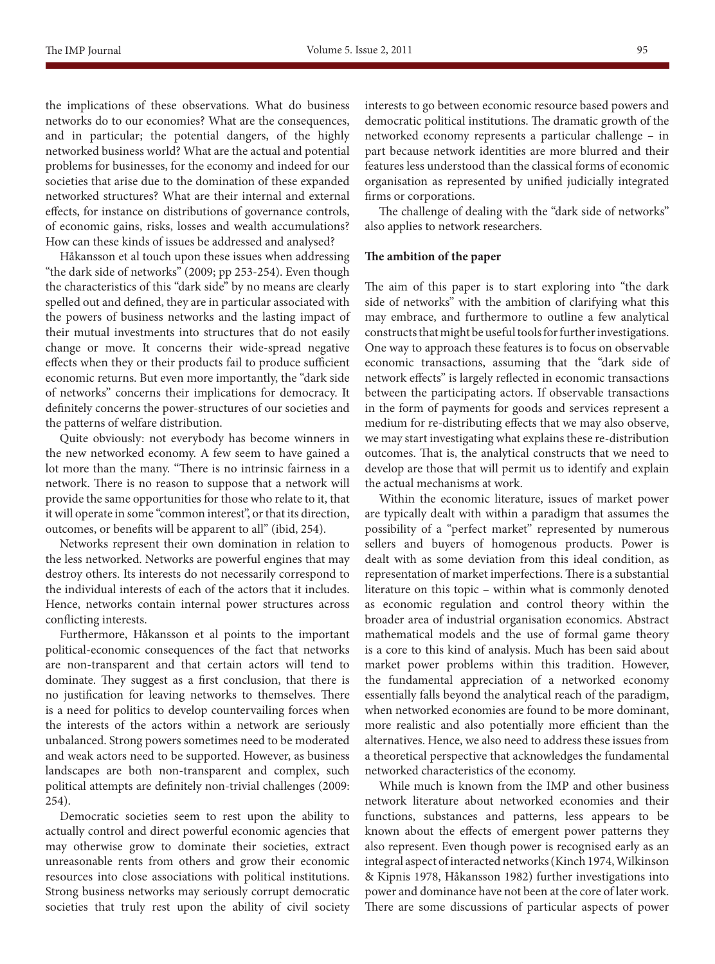the implications of these observations. What do business networks do to our economies? What are the consequences, and in particular; the potential dangers, of the highly networked business world? What are the actual and potential problems for businesses, for the economy and indeed for our societies that arise due to the domination of these expanded networked structures? What are their internal and external effects, for instance on distributions of governance controls, of economic gains, risks, losses and wealth accumulations? How can these kinds of issues be addressed and analysed?

Håkansson et al touch upon these issues when addressing "the dark side of networks" (2009; pp 253-254). Even though the characteristics of this "dark side" by no means are clearly spelled out and defined, they are in particular associated with the powers of business networks and the lasting impact of their mutual investments into structures that do not easily change or move. It concerns their wide-spread negative effects when they or their products fail to produce sufficient economic returns. But even more importantly, the "dark side of networks" concerns their implications for democracy. It definitely concerns the power-structures of our societies and the patterns of welfare distribution.

Quite obviously: not everybody has become winners in the new networked economy. A few seem to have gained a lot more than the many. "There is no intrinsic fairness in a network. There is no reason to suppose that a network will provide the same opportunities for those who relate to it, that it will operate in some "common interest", or that its direction, outcomes, or benefits will be apparent to all" (ibid, 254).

Networks represent their own domination in relation to the less networked. Networks are powerful engines that may destroy others. Its interests do not necessarily correspond to the individual interests of each of the actors that it includes. Hence, networks contain internal power structures across conflicting interests.

Furthermore, Håkansson et al points to the important political-economic consequences of the fact that networks are non-transparent and that certain actors will tend to dominate. They suggest as a first conclusion, that there is no justification for leaving networks to themselves. There is a need for politics to develop countervailing forces when the interests of the actors within a network are seriously unbalanced. Strong powers sometimes need to be moderated and weak actors need to be supported. However, as business landscapes are both non-transparent and complex, such political attempts are definitely non-trivial challenges (2009: 254).

Democratic societies seem to rest upon the ability to actually control and direct powerful economic agencies that may otherwise grow to dominate their societies, extract unreasonable rents from others and grow their economic resources into close associations with political institutions. Strong business networks may seriously corrupt democratic societies that truly rest upon the ability of civil society interests to go between economic resource based powers and democratic political institutions. The dramatic growth of the networked economy represents a particular challenge – in part because network identities are more blurred and their features less understood than the classical forms of economic organisation as represented by unified judicially integrated firms or corporations.

The challenge of dealing with the "dark side of networks" also applies to network researchers.

#### **The ambition of the paper**

The aim of this paper is to start exploring into "the dark side of networks" with the ambition of clarifying what this may embrace, and furthermore to outline a few analytical constructs that might be useful tools for further investigations. One way to approach these features is to focus on observable economic transactions, assuming that the "dark side of network effects" is largely reflected in economic transactions between the participating actors. If observable transactions in the form of payments for goods and services represent a medium for re-distributing effects that we may also observe, we may start investigating what explains these re-distribution outcomes. That is, the analytical constructs that we need to develop are those that will permit us to identify and explain the actual mechanisms at work.

Within the economic literature, issues of market power are typically dealt with within a paradigm that assumes the possibility of a "perfect market" represented by numerous sellers and buyers of homogenous products. Power is dealt with as some deviation from this ideal condition, as representation of market imperfections. There is a substantial literature on this topic – within what is commonly denoted as economic regulation and control theory within the broader area of industrial organisation economics. Abstract mathematical models and the use of formal game theory is a core to this kind of analysis. Much has been said about market power problems within this tradition. However, the fundamental appreciation of a networked economy essentially falls beyond the analytical reach of the paradigm, when networked economies are found to be more dominant, more realistic and also potentially more efficient than the alternatives. Hence, we also need to address these issues from a theoretical perspective that acknowledges the fundamental networked characteristics of the economy.

While much is known from the IMP and other business network literature about networked economies and their functions, substances and patterns, less appears to be known about the effects of emergent power patterns they also represent. Even though power is recognised early as an integral aspect of interacted networks (Kinch 1974, Wilkinson & Kipnis 1978, Håkansson 1982) further investigations into power and dominance have not been at the core of later work. There are some discussions of particular aspects of power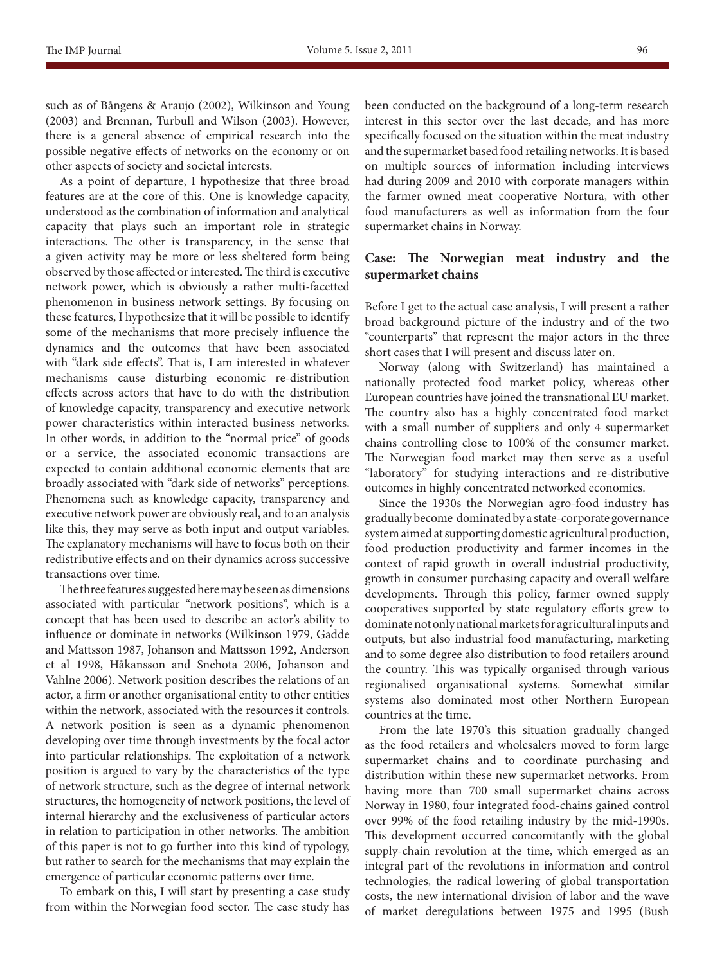such as of Bångens & Araujo (2002), Wilkinson and Young (2003) and Brennan, Turbull and Wilson (2003). However, there is a general absence of empirical research into the possible negative effects of networks on the economy or on other aspects of society and societal interests.

As a point of departure, I hypothesize that three broad features are at the core of this. One is knowledge capacity, understood as the combination of information and analytical capacity that plays such an important role in strategic interactions. The other is transparency, in the sense that a given activity may be more or less sheltered form being observed by those affected or interested. The third is executive network power, which is obviously a rather multi-facetted phenomenon in business network settings. By focusing on these features, I hypothesize that it will be possible to identify some of the mechanisms that more precisely influence the dynamics and the outcomes that have been associated with "dark side effects". That is, I am interested in whatever mechanisms cause disturbing economic re-distribution effects across actors that have to do with the distribution of knowledge capacity, transparency and executive network power characteristics within interacted business networks. In other words, in addition to the "normal price" of goods or a service, the associated economic transactions are expected to contain additional economic elements that are broadly associated with "dark side of networks" perceptions. Phenomena such as knowledge capacity, transparency and executive network power are obviously real, and to an analysis like this, they may serve as both input and output variables. The explanatory mechanisms will have to focus both on their redistributive effects and on their dynamics across successive transactions over time.

The three features suggested here may be seen as dimensions associated with particular "network positions", which is a concept that has been used to describe an actor's ability to influence or dominate in networks (Wilkinson 1979, Gadde and Mattsson 1987, Johanson and Mattsson 1992, Anderson et al 1998, Håkansson and Snehota 2006, Johanson and Vahlne 2006). Network position describes the relations of an actor, a firm or another organisational entity to other entities within the network, associated with the resources it controls. A network position is seen as a dynamic phenomenon developing over time through investments by the focal actor into particular relationships. The exploitation of a network position is argued to vary by the characteristics of the type of network structure, such as the degree of internal network structures, the homogeneity of network positions, the level of internal hierarchy and the exclusiveness of particular actors in relation to participation in other networks. The ambition of this paper is not to go further into this kind of typology, but rather to search for the mechanisms that may explain the emergence of particular economic patterns over time.

To embark on this, I will start by presenting a case study from within the Norwegian food sector. The case study has been conducted on the background of a long-term research interest in this sector over the last decade, and has more specifically focused on the situation within the meat industry and the supermarket based food retailing networks. It is based on multiple sources of information including interviews had during 2009 and 2010 with corporate managers within the farmer owned meat cooperative Nortura, with other food manufacturers as well as information from the four supermarket chains in Norway.

# **Case: The Norwegian meat industry and the supermarket chains**

Before I get to the actual case analysis, I will present a rather broad background picture of the industry and of the two "counterparts" that represent the major actors in the three short cases that I will present and discuss later on.

Norway (along with Switzerland) has maintained a nationally protected food market policy, whereas other European countries have joined the transnational EU market. The country also has a highly concentrated food market with a small number of suppliers and only 4 supermarket chains controlling close to 100% of the consumer market. The Norwegian food market may then serve as a useful "laboratory" for studying interactions and re-distributive outcomes in highly concentrated networked economies.

Since the 1930s the Norwegian agro-food industry has gradually become dominated by a state-corporate governance system aimed at supporting domestic agricultural production, food production productivity and farmer incomes in the context of rapid growth in overall industrial productivity, growth in consumer purchasing capacity and overall welfare developments. Through this policy, farmer owned supply cooperatives supported by state regulatory efforts grew to dominate not only national markets for agricultural inputs and outputs, but also industrial food manufacturing, marketing and to some degree also distribution to food retailers around the country. This was typically organised through various regionalised organisational systems. Somewhat similar systems also dominated most other Northern European countries at the time.

From the late 1970's this situation gradually changed as the food retailers and wholesalers moved to form large supermarket chains and to coordinate purchasing and distribution within these new supermarket networks. From having more than 700 small supermarket chains across Norway in 1980, four integrated food-chains gained control over 99% of the food retailing industry by the mid-1990s. This development occurred concomitantly with the global supply-chain revolution at the time, which emerged as an integral part of the revolutions in information and control technologies, the radical lowering of global transportation costs, the new international division of labor and the wave of market deregulations between 1975 and 1995 (Bush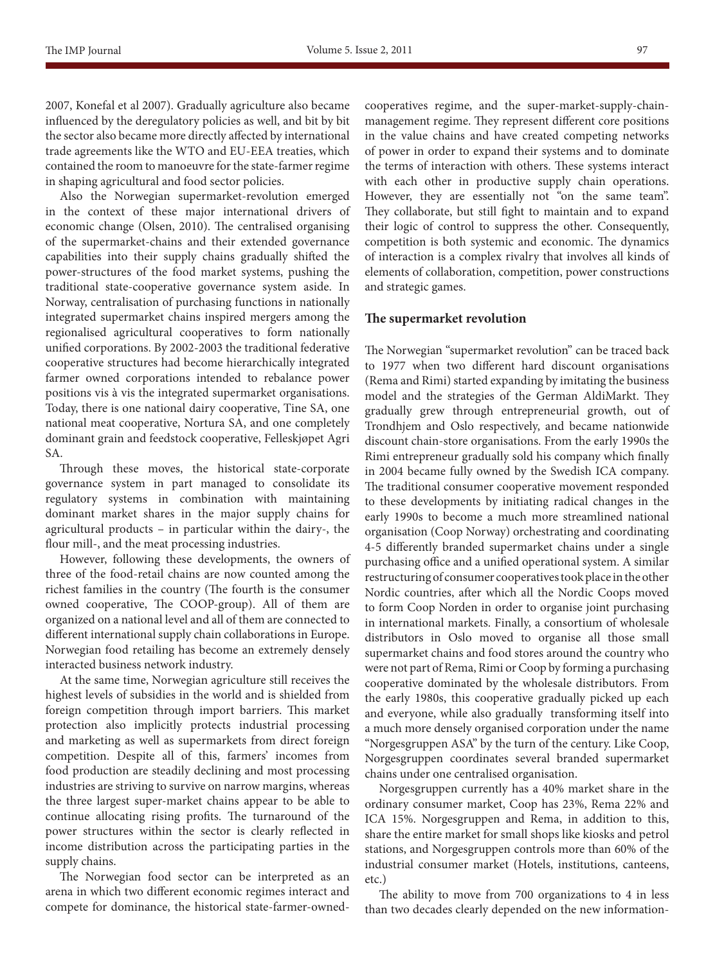Also the Norwegian supermarket-revolution emerged in the context of these major international drivers of economic change (Olsen, 2010). The centralised organising of the supermarket-chains and their extended governance capabilities into their supply chains gradually shifted the power-structures of the food market systems, pushing the traditional state-cooperative governance system aside. In Norway, centralisation of purchasing functions in nationally integrated supermarket chains inspired mergers among the regionalised agricultural cooperatives to form nationally unified corporations. By 2002-2003 the traditional federative cooperative structures had become hierarchically integrated farmer owned corporations intended to rebalance power positions vis à vis the integrated supermarket organisations. Today, there is one national dairy cooperative, Tine SA, one national meat cooperative, Nortura SA, and one completely dominant grain and feedstock cooperative, Felleskjøpet Agri SA.

Through these moves, the historical state-corporate governance system in part managed to consolidate its regulatory systems in combination with maintaining dominant market shares in the major supply chains for agricultural products – in particular within the dairy-, the flour mill-, and the meat processing industries.

However, following these developments, the owners of three of the food-retail chains are now counted among the richest families in the country (The fourth is the consumer owned cooperative, The COOP-group). All of them are organized on a national level and all of them are connected to different international supply chain collaborations in Europe. Norwegian food retailing has become an extremely densely interacted business network industry.

At the same time, Norwegian agriculture still receives the highest levels of subsidies in the world and is shielded from foreign competition through import barriers. This market protection also implicitly protects industrial processing and marketing as well as supermarkets from direct foreign competition. Despite all of this, farmers' incomes from food production are steadily declining and most processing industries are striving to survive on narrow margins, whereas the three largest super-market chains appear to be able to continue allocating rising profits. The turnaround of the power structures within the sector is clearly reflected in income distribution across the participating parties in the supply chains.

The Norwegian food sector can be interpreted as an arena in which two different economic regimes interact and compete for dominance, the historical state-farmer-ownedcooperatives regime, and the super-market-supply-chainmanagement regime. They represent different core positions in the value chains and have created competing networks of power in order to expand their systems and to dominate the terms of interaction with others. These systems interact with each other in productive supply chain operations. However, they are essentially not "on the same team". They collaborate, but still fight to maintain and to expand their logic of control to suppress the other. Consequently, competition is both systemic and economic. The dynamics of interaction is a complex rivalry that involves all kinds of elements of collaboration, competition, power constructions and strategic games.

#### **The supermarket revolution**

The Norwegian "supermarket revolution" can be traced back to 1977 when two different hard discount organisations (Rema and Rimi) started expanding by imitating the business model and the strategies of the German AldiMarkt. They gradually grew through entrepreneurial growth, out of Trondhjem and Oslo respectively, and became nationwide discount chain-store organisations. From the early 1990s the Rimi entrepreneur gradually sold his company which finally in 2004 became fully owned by the Swedish ICA company. The traditional consumer cooperative movement responded to these developments by initiating radical changes in the early 1990s to become a much more streamlined national organisation (Coop Norway) orchestrating and coordinating 4-5 differently branded supermarket chains under a single purchasing office and a unified operational system. A similar restructuring of consumer cooperatives took place in the other Nordic countries, after which all the Nordic Coops moved to form Coop Norden in order to organise joint purchasing in international markets. Finally, a consortium of wholesale distributors in Oslo moved to organise all those small supermarket chains and food stores around the country who were not part of Rema, Rimi or Coop by forming a purchasing cooperative dominated by the wholesale distributors. From the early 1980s, this cooperative gradually picked up each and everyone, while also gradually transforming itself into a much more densely organised corporation under the name "Norgesgruppen ASA" by the turn of the century. Like Coop, Norgesgruppen coordinates several branded supermarket chains under one centralised organisation.

Norgesgruppen currently has a 40% market share in the ordinary consumer market, Coop has 23%, Rema 22% and ICA 15%. Norgesgruppen and Rema, in addition to this, share the entire market for small shops like kiosks and petrol stations, and Norgesgruppen controls more than 60% of the industrial consumer market (Hotels, institutions, canteens, etc.)

The ability to move from 700 organizations to 4 in less than two decades clearly depended on the new information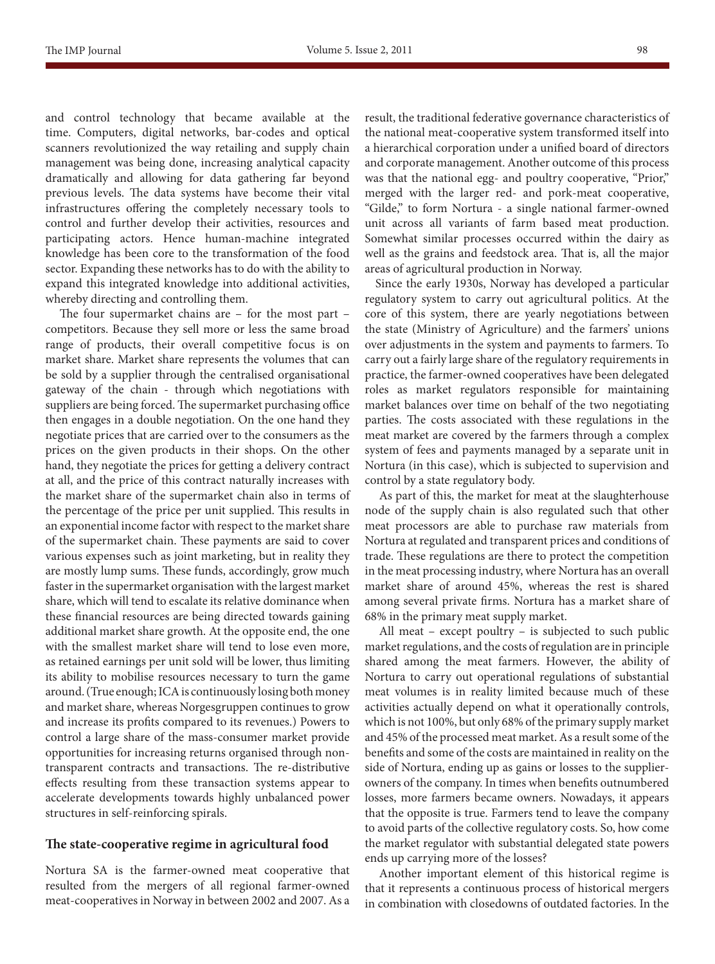and control technology that became available at the time. Computers, digital networks, bar-codes and optical scanners revolutionized the way retailing and supply chain management was being done, increasing analytical capacity dramatically and allowing for data gathering far beyond previous levels. The data systems have become their vital infrastructures offering the completely necessary tools to control and further develop their activities, resources and participating actors. Hence human-machine integrated knowledge has been core to the transformation of the food sector. Expanding these networks has to do with the ability to expand this integrated knowledge into additional activities, whereby directing and controlling them.

The four supermarket chains are – for the most part – competitors. Because they sell more or less the same broad range of products, their overall competitive focus is on market share. Market share represents the volumes that can be sold by a supplier through the centralised organisational gateway of the chain - through which negotiations with suppliers are being forced. The supermarket purchasing office then engages in a double negotiation. On the one hand they negotiate prices that are carried over to the consumers as the prices on the given products in their shops. On the other hand, they negotiate the prices for getting a delivery contract at all, and the price of this contract naturally increases with the market share of the supermarket chain also in terms of the percentage of the price per unit supplied. This results in an exponential income factor with respect to the market share of the supermarket chain. These payments are said to cover various expenses such as joint marketing, but in reality they are mostly lump sums. These funds, accordingly, grow much faster in the supermarket organisation with the largest market share, which will tend to escalate its relative dominance when these financial resources are being directed towards gaining additional market share growth. At the opposite end, the one with the smallest market share will tend to lose even more, as retained earnings per unit sold will be lower, thus limiting its ability to mobilise resources necessary to turn the game around. (True enough; ICA is continuously losing both money and market share, whereas Norgesgruppen continues to grow and increase its profits compared to its revenues.) Powers to control a large share of the mass-consumer market provide opportunities for increasing returns organised through nontransparent contracts and transactions. The re-distributive effects resulting from these transaction systems appear to accelerate developments towards highly unbalanced power structures in self-reinforcing spirals.

## **The state-cooperative regime in agricultural food**

Nortura SA is the farmer-owned meat cooperative that resulted from the mergers of all regional farmer-owned meat-cooperatives in Norway in between 2002 and 2007. As a result, the traditional federative governance characteristics of the national meat-cooperative system transformed itself into a hierarchical corporation under a unified board of directors and corporate management. Another outcome of this process was that the national egg- and poultry cooperative, "Prior," merged with the larger red- and pork-meat cooperative, "Gilde," to form Nortura - a single national farmer-owned unit across all variants of farm based meat production. Somewhat similar processes occurred within the dairy as well as the grains and feedstock area. That is, all the major areas of agricultural production in Norway.

Since the early 1930s, Norway has developed a particular regulatory system to carry out agricultural politics. At the core of this system, there are yearly negotiations between the state (Ministry of Agriculture) and the farmers' unions over adjustments in the system and payments to farmers. To carry out a fairly large share of the regulatory requirements in practice, the farmer-owned cooperatives have been delegated roles as market regulators responsible for maintaining market balances over time on behalf of the two negotiating parties. The costs associated with these regulations in the meat market are covered by the farmers through a complex system of fees and payments managed by a separate unit in Nortura (in this case), which is subjected to supervision and control by a state regulatory body.

As part of this, the market for meat at the slaughterhouse node of the supply chain is also regulated such that other meat processors are able to purchase raw materials from Nortura at regulated and transparent prices and conditions of trade. These regulations are there to protect the competition in the meat processing industry, where Nortura has an overall market share of around 45%, whereas the rest is shared among several private firms. Nortura has a market share of 68% in the primary meat supply market.

All meat – except poultry – is subjected to such public market regulations, and the costs of regulation are in principle shared among the meat farmers. However, the ability of Nortura to carry out operational regulations of substantial meat volumes is in reality limited because much of these activities actually depend on what it operationally controls, which is not 100%, but only 68% of the primary supply market and 45% of the processed meat market. As a result some of the benefits and some of the costs are maintained in reality on the side of Nortura, ending up as gains or losses to the supplierowners of the company. In times when benefits outnumbered losses, more farmers became owners. Nowadays, it appears that the opposite is true. Farmers tend to leave the company to avoid parts of the collective regulatory costs. So, how come the market regulator with substantial delegated state powers ends up carrying more of the losses?

Another important element of this historical regime is that it represents a continuous process of historical mergers in combination with closedowns of outdated factories. In the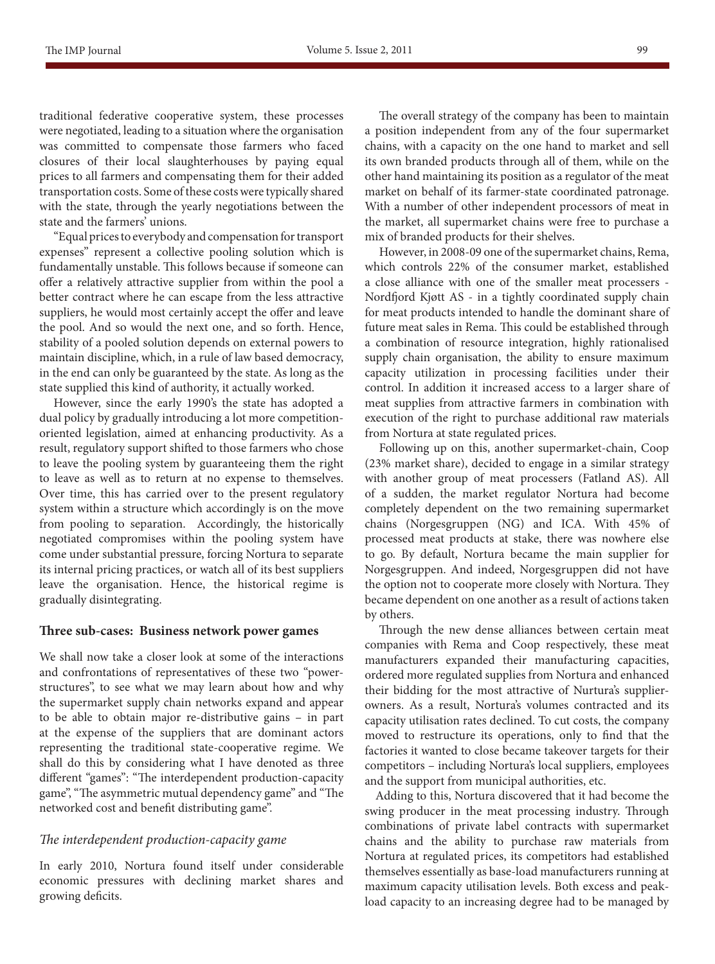traditional federative cooperative system, these processes were negotiated, leading to a situation where the organisation was committed to compensate those farmers who faced closures of their local slaughterhouses by paying equal prices to all farmers and compensating them for their added transportation costs. Some of these costs were typically shared with the state, through the yearly negotiations between the state and the farmers' unions.

"Equal prices to everybody and compensation for transport expenses" represent a collective pooling solution which is fundamentally unstable. This follows because if someone can offer a relatively attractive supplier from within the pool a better contract where he can escape from the less attractive suppliers, he would most certainly accept the offer and leave the pool. And so would the next one, and so forth. Hence, stability of a pooled solution depends on external powers to maintain discipline, which, in a rule of law based democracy, in the end can only be guaranteed by the state. As long as the state supplied this kind of authority, it actually worked.

However, since the early 1990's the state has adopted a dual policy by gradually introducing a lot more competitionoriented legislation, aimed at enhancing productivity. As a result, regulatory support shifted to those farmers who chose to leave the pooling system by guaranteeing them the right to leave as well as to return at no expense to themselves. Over time, this has carried over to the present regulatory system within a structure which accordingly is on the move from pooling to separation. Accordingly, the historically negotiated compromises within the pooling system have come under substantial pressure, forcing Nortura to separate its internal pricing practices, or watch all of its best suppliers leave the organisation. Hence, the historical regime is gradually disintegrating.

#### **Three sub-cases: Business network power games**

We shall now take a closer look at some of the interactions and confrontations of representatives of these two "powerstructures", to see what we may learn about how and why the supermarket supply chain networks expand and appear to be able to obtain major re-distributive gains – in part at the expense of the suppliers that are dominant actors representing the traditional state-cooperative regime. We shall do this by considering what I have denoted as three different "games": "The interdependent production-capacity game", "The asymmetric mutual dependency game" and "The networked cost and benefit distributing game".

## *The interdependent production-capacity game*

In early 2010, Nortura found itself under considerable economic pressures with declining market shares and growing deficits.

The overall strategy of the company has been to maintain a position independent from any of the four supermarket chains, with a capacity on the one hand to market and sell its own branded products through all of them, while on the other hand maintaining its position as a regulator of the meat market on behalf of its farmer-state coordinated patronage. With a number of other independent processors of meat in the market, all supermarket chains were free to purchase a mix of branded products for their shelves.

However, in 2008-09 one of the supermarket chains, Rema, which controls 22% of the consumer market, established a close alliance with one of the smaller meat processers - Nordfjord Kjøtt AS - in a tightly coordinated supply chain for meat products intended to handle the dominant share of future meat sales in Rema. This could be established through a combination of resource integration, highly rationalised supply chain organisation, the ability to ensure maximum capacity utilization in processing facilities under their control. In addition it increased access to a larger share of meat supplies from attractive farmers in combination with execution of the right to purchase additional raw materials from Nortura at state regulated prices.

Following up on this, another supermarket-chain, Coop (23% market share), decided to engage in a similar strategy with another group of meat processers (Fatland AS). All of a sudden, the market regulator Nortura had become completely dependent on the two remaining supermarket chains (Norgesgruppen (NG) and ICA. With 45% of processed meat products at stake, there was nowhere else to go. By default, Nortura became the main supplier for Norgesgruppen. And indeed, Norgesgruppen did not have the option not to cooperate more closely with Nortura. They became dependent on one another as a result of actions taken by others.

Through the new dense alliances between certain meat companies with Rema and Coop respectively, these meat manufacturers expanded their manufacturing capacities, ordered more regulated supplies from Nortura and enhanced their bidding for the most attractive of Nurtura's supplierowners. As a result, Nortura's volumes contracted and its capacity utilisation rates declined. To cut costs, the company moved to restructure its operations, only to find that the factories it wanted to close became takeover targets for their competitors – including Nortura's local suppliers, employees and the support from municipal authorities, etc.

Adding to this, Nortura discovered that it had become the swing producer in the meat processing industry. Through combinations of private label contracts with supermarket chains and the ability to purchase raw materials from Nortura at regulated prices, its competitors had established themselves essentially as base-load manufacturers running at maximum capacity utilisation levels. Both excess and peakload capacity to an increasing degree had to be managed by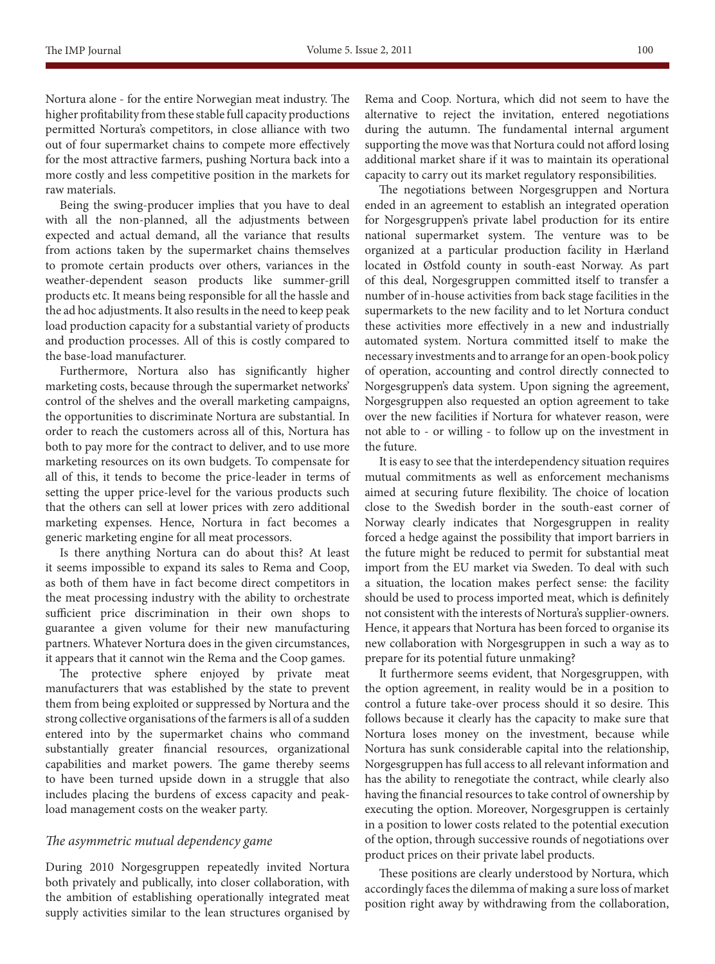Nortura alone - for the entire Norwegian meat industry. The higher profitability from these stable full capacity productions permitted Nortura's competitors, in close alliance with two out of four supermarket chains to compete more effectively for the most attractive farmers, pushing Nortura back into a more costly and less competitive position in the markets for raw materials.

Being the swing-producer implies that you have to deal with all the non-planned, all the adjustments between expected and actual demand, all the variance that results from actions taken by the supermarket chains themselves to promote certain products over others, variances in the weather-dependent season products like summer-grill products etc. It means being responsible for all the hassle and the ad hoc adjustments. It also results in the need to keep peak load production capacity for a substantial variety of products and production processes. All of this is costly compared to the base-load manufacturer.

Furthermore, Nortura also has significantly higher marketing costs, because through the supermarket networks' control of the shelves and the overall marketing campaigns, the opportunities to discriminate Nortura are substantial. In order to reach the customers across all of this, Nortura has both to pay more for the contract to deliver, and to use more marketing resources on its own budgets. To compensate for all of this, it tends to become the price-leader in terms of setting the upper price-level for the various products such that the others can sell at lower prices with zero additional marketing expenses. Hence, Nortura in fact becomes a generic marketing engine for all meat processors.

Is there anything Nortura can do about this? At least it seems impossible to expand its sales to Rema and Coop, as both of them have in fact become direct competitors in the meat processing industry with the ability to orchestrate sufficient price discrimination in their own shops to guarantee a given volume for their new manufacturing partners. Whatever Nortura does in the given circumstances, it appears that it cannot win the Rema and the Coop games.

The protective sphere enjoyed by private meat manufacturers that was established by the state to prevent them from being exploited or suppressed by Nortura and the strong collective organisations of the farmers is all of a sudden entered into by the supermarket chains who command substantially greater financial resources, organizational capabilities and market powers. The game thereby seems to have been turned upside down in a struggle that also includes placing the burdens of excess capacity and peakload management costs on the weaker party.

## *The asymmetric mutual dependency game*

During 2010 Norgesgruppen repeatedly invited Nortura both privately and publically, into closer collaboration, with the ambition of establishing operationally integrated meat supply activities similar to the lean structures organised by Rema and Coop. Nortura, which did not seem to have the alternative to reject the invitation, entered negotiations during the autumn. The fundamental internal argument supporting the move was that Nortura could not afford losing additional market share if it was to maintain its operational capacity to carry out its market regulatory responsibilities.

The negotiations between Norgesgruppen and Nortura ended in an agreement to establish an integrated operation for Norgesgruppen's private label production for its entire national supermarket system. The venture was to be organized at a particular production facility in Hærland located in Østfold county in south-east Norway. As part of this deal, Norgesgruppen committed itself to transfer a number of in-house activities from back stage facilities in the supermarkets to the new facility and to let Nortura conduct these activities more effectively in a new and industrially automated system. Nortura committed itself to make the necessary investments and to arrange for an open-book policy of operation, accounting and control directly connected to Norgesgruppen's data system. Upon signing the agreement, Norgesgruppen also requested an option agreement to take over the new facilities if Nortura for whatever reason, were not able to - or willing - to follow up on the investment in the future.

It is easy to see that the interdependency situation requires mutual commitments as well as enforcement mechanisms aimed at securing future flexibility. The choice of location close to the Swedish border in the south-east corner of Norway clearly indicates that Norgesgruppen in reality forced a hedge against the possibility that import barriers in the future might be reduced to permit for substantial meat import from the EU market via Sweden. To deal with such a situation, the location makes perfect sense: the facility should be used to process imported meat, which is definitely not consistent with the interests of Nortura's supplier-owners. Hence, it appears that Nortura has been forced to organise its new collaboration with Norgesgruppen in such a way as to prepare for its potential future unmaking?

It furthermore seems evident, that Norgesgruppen, with the option agreement, in reality would be in a position to control a future take-over process should it so desire. This follows because it clearly has the capacity to make sure that Nortura loses money on the investment, because while Nortura has sunk considerable capital into the relationship, Norgesgruppen has full access to all relevant information and has the ability to renegotiate the contract, while clearly also having the financial resources to take control of ownership by executing the option. Moreover, Norgesgruppen is certainly in a position to lower costs related to the potential execution of the option, through successive rounds of negotiations over product prices on their private label products.

These positions are clearly understood by Nortura, which accordingly faces the dilemma of making a sure loss of market position right away by withdrawing from the collaboration,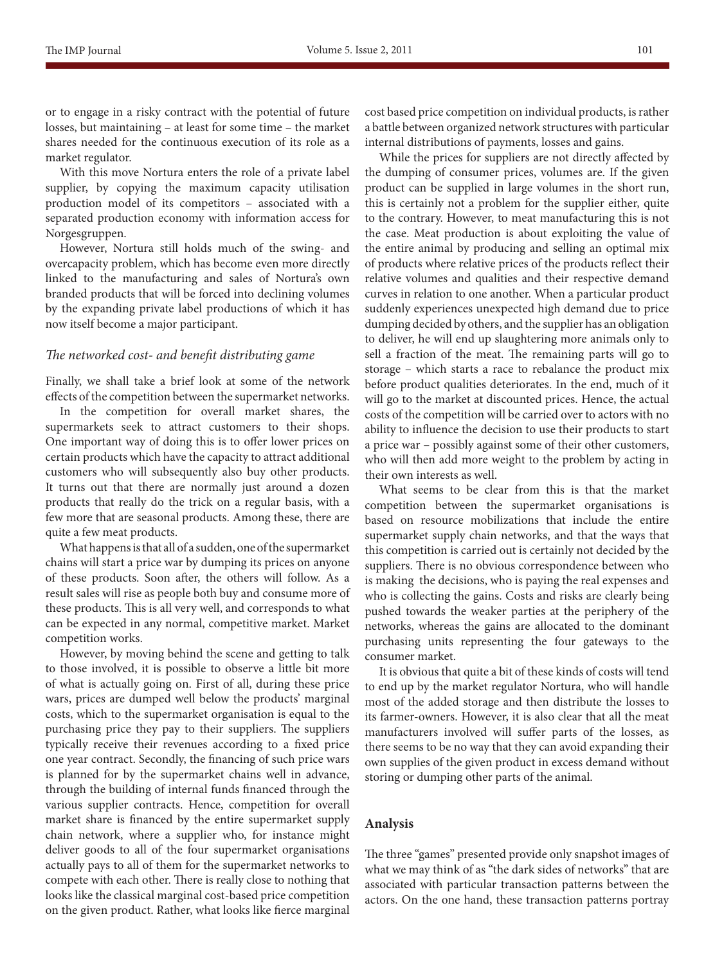or to engage in a risky contract with the potential of future losses, but maintaining – at least for some time – the market shares needed for the continuous execution of its role as a market regulator.

With this move Nortura enters the role of a private label supplier, by copying the maximum capacity utilisation production model of its competitors – associated with a separated production economy with information access for Norgesgruppen.

However, Nortura still holds much of the swing- and overcapacity problem, which has become even more directly linked to the manufacturing and sales of Nortura's own branded products that will be forced into declining volumes by the expanding private label productions of which it has now itself become a major participant.

## *The networked cost- and benefit distributing game*

Finally, we shall take a brief look at some of the network effects of the competition between the supermarket networks.

In the competition for overall market shares, the supermarkets seek to attract customers to their shops. One important way of doing this is to offer lower prices on certain products which have the capacity to attract additional customers who will subsequently also buy other products. It turns out that there are normally just around a dozen products that really do the trick on a regular basis, with a few more that are seasonal products. Among these, there are quite a few meat products.

What happens is that all of a sudden, one of the supermarket chains will start a price war by dumping its prices on anyone of these products. Soon after, the others will follow. As a result sales will rise as people both buy and consume more of these products. This is all very well, and corresponds to what can be expected in any normal, competitive market. Market competition works.

However, by moving behind the scene and getting to talk to those involved, it is possible to observe a little bit more of what is actually going on. First of all, during these price wars, prices are dumped well below the products' marginal costs, which to the supermarket organisation is equal to the purchasing price they pay to their suppliers. The suppliers typically receive their revenues according to a fixed price one year contract. Secondly, the financing of such price wars is planned for by the supermarket chains well in advance, through the building of internal funds financed through the various supplier contracts. Hence, competition for overall market share is financed by the entire supermarket supply chain network, where a supplier who, for instance might deliver goods to all of the four supermarket organisations actually pays to all of them for the supermarket networks to compete with each other. There is really close to nothing that looks like the classical marginal cost-based price competition on the given product. Rather, what looks like fierce marginal cost based price competition on individual products, is rather a battle between organized network structures with particular internal distributions of payments, losses and gains.

While the prices for suppliers are not directly affected by the dumping of consumer prices, volumes are. If the given product can be supplied in large volumes in the short run, this is certainly not a problem for the supplier either, quite to the contrary. However, to meat manufacturing this is not the case. Meat production is about exploiting the value of the entire animal by producing and selling an optimal mix of products where relative prices of the products reflect their relative volumes and qualities and their respective demand curves in relation to one another. When a particular product suddenly experiences unexpected high demand due to price dumping decided by others, and the supplier has an obligation to deliver, he will end up slaughtering more animals only to sell a fraction of the meat. The remaining parts will go to storage – which starts a race to rebalance the product mix before product qualities deteriorates. In the end, much of it will go to the market at discounted prices. Hence, the actual costs of the competition will be carried over to actors with no ability to influence the decision to use their products to start a price war – possibly against some of their other customers, who will then add more weight to the problem by acting in their own interests as well.

What seems to be clear from this is that the market competition between the supermarket organisations is based on resource mobilizations that include the entire supermarket supply chain networks, and that the ways that this competition is carried out is certainly not decided by the suppliers. There is no obvious correspondence between who is making the decisions, who is paying the real expenses and who is collecting the gains. Costs and risks are clearly being pushed towards the weaker parties at the periphery of the networks, whereas the gains are allocated to the dominant purchasing units representing the four gateways to the consumer market.

It is obvious that quite a bit of these kinds of costs will tend to end up by the market regulator Nortura, who will handle most of the added storage and then distribute the losses to its farmer-owners. However, it is also clear that all the meat manufacturers involved will suffer parts of the losses, as there seems to be no way that they can avoid expanding their own supplies of the given product in excess demand without storing or dumping other parts of the animal.

#### **Analysis**

The three "games" presented provide only snapshot images of what we may think of as "the dark sides of networks" that are associated with particular transaction patterns between the actors. On the one hand, these transaction patterns portray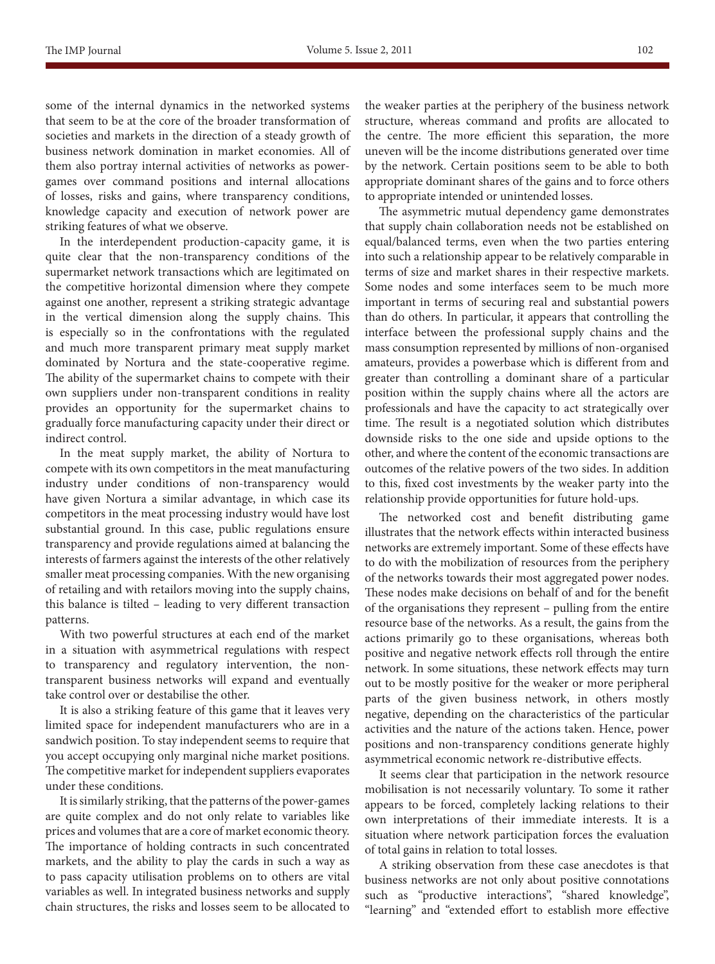some of the internal dynamics in the networked systems that seem to be at the core of the broader transformation of societies and markets in the direction of a steady growth of business network domination in market economies. All of them also portray internal activities of networks as powergames over command positions and internal allocations of losses, risks and gains, where transparency conditions, knowledge capacity and execution of network power are striking features of what we observe.

In the interdependent production-capacity game, it is quite clear that the non-transparency conditions of the supermarket network transactions which are legitimated on the competitive horizontal dimension where they compete against one another, represent a striking strategic advantage in the vertical dimension along the supply chains. This is especially so in the confrontations with the regulated and much more transparent primary meat supply market dominated by Nortura and the state-cooperative regime. The ability of the supermarket chains to compete with their own suppliers under non-transparent conditions in reality provides an opportunity for the supermarket chains to gradually force manufacturing capacity under their direct or indirect control.

In the meat supply market, the ability of Nortura to compete with its own competitors in the meat manufacturing industry under conditions of non-transparency would have given Nortura a similar advantage, in which case its competitors in the meat processing industry would have lost substantial ground. In this case, public regulations ensure transparency and provide regulations aimed at balancing the interests of farmers against the interests of the other relatively smaller meat processing companies. With the new organising of retailing and with retailors moving into the supply chains, this balance is tilted – leading to very different transaction patterns.

With two powerful structures at each end of the market in a situation with asymmetrical regulations with respect to transparency and regulatory intervention, the nontransparent business networks will expand and eventually take control over or destabilise the other.

It is also a striking feature of this game that it leaves very limited space for independent manufacturers who are in a sandwich position. To stay independent seems to require that you accept occupying only marginal niche market positions. The competitive market for independent suppliers evaporates under these conditions.

It is similarly striking, that the patterns of the power-games are quite complex and do not only relate to variables like prices and volumes that are a core of market economic theory. The importance of holding contracts in such concentrated markets, and the ability to play the cards in such a way as to pass capacity utilisation problems on to others are vital variables as well. In integrated business networks and supply chain structures, the risks and losses seem to be allocated to the weaker parties at the periphery of the business network structure, whereas command and profits are allocated to the centre. The more efficient this separation, the more uneven will be the income distributions generated over time by the network. Certain positions seem to be able to both appropriate dominant shares of the gains and to force others to appropriate intended or unintended losses.

The asymmetric mutual dependency game demonstrates that supply chain collaboration needs not be established on equal/balanced terms, even when the two parties entering into such a relationship appear to be relatively comparable in terms of size and market shares in their respective markets. Some nodes and some interfaces seem to be much more important in terms of securing real and substantial powers than do others. In particular, it appears that controlling the interface between the professional supply chains and the mass consumption represented by millions of non-organised amateurs, provides a powerbase which is different from and greater than controlling a dominant share of a particular position within the supply chains where all the actors are professionals and have the capacity to act strategically over time. The result is a negotiated solution which distributes downside risks to the one side and upside options to the other, and where the content of the economic transactions are outcomes of the relative powers of the two sides. In addition to this, fixed cost investments by the weaker party into the relationship provide opportunities for future hold-ups.

The networked cost and benefit distributing game illustrates that the network effects within interacted business networks are extremely important. Some of these effects have to do with the mobilization of resources from the periphery of the networks towards their most aggregated power nodes. These nodes make decisions on behalf of and for the benefit of the organisations they represent – pulling from the entire resource base of the networks. As a result, the gains from the actions primarily go to these organisations, whereas both positive and negative network effects roll through the entire network. In some situations, these network effects may turn out to be mostly positive for the weaker or more peripheral parts of the given business network, in others mostly negative, depending on the characteristics of the particular activities and the nature of the actions taken. Hence, power positions and non-transparency conditions generate highly asymmetrical economic network re-distributive effects.

It seems clear that participation in the network resource mobilisation is not necessarily voluntary. To some it rather appears to be forced, completely lacking relations to their own interpretations of their immediate interests. It is a situation where network participation forces the evaluation of total gains in relation to total losses.

A striking observation from these case anecdotes is that business networks are not only about positive connotations such as "productive interactions", "shared knowledge", "learning" and "extended effort to establish more effective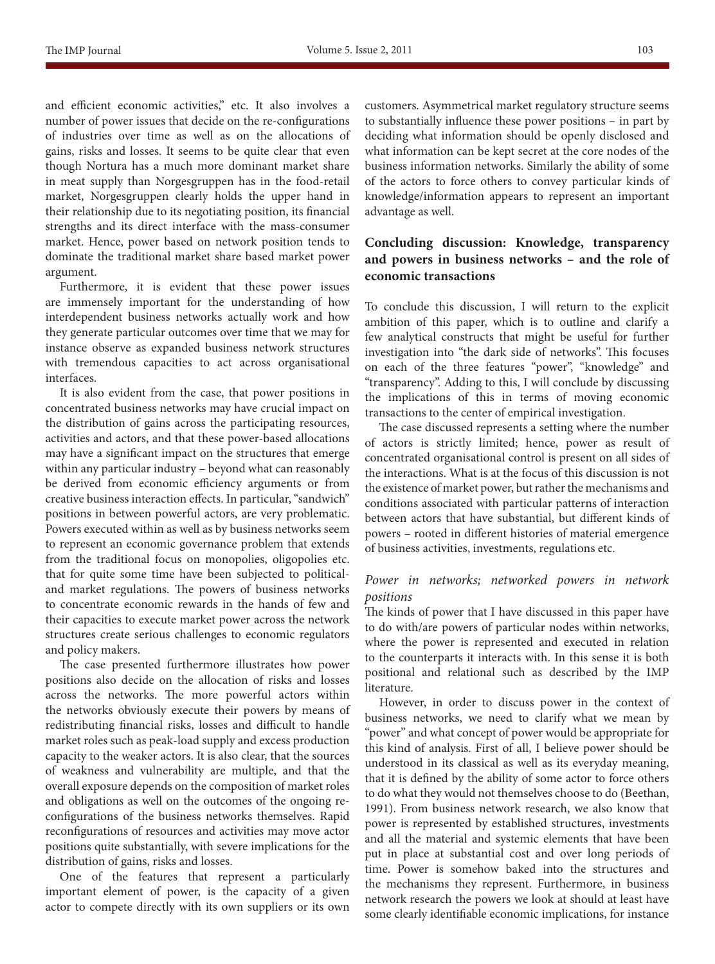and efficient economic activities," etc. It also involves a number of power issues that decide on the re-configurations of industries over time as well as on the allocations of gains, risks and losses. It seems to be quite clear that even though Nortura has a much more dominant market share in meat supply than Norgesgruppen has in the food-retail market, Norgesgruppen clearly holds the upper hand in their relationship due to its negotiating position, its financial strengths and its direct interface with the mass-consumer market. Hence, power based on network position tends to dominate the traditional market share based market power argument.

Furthermore, it is evident that these power issues are immensely important for the understanding of how interdependent business networks actually work and how they generate particular outcomes over time that we may for instance observe as expanded business network structures with tremendous capacities to act across organisational interfaces.

It is also evident from the case, that power positions in concentrated business networks may have crucial impact on the distribution of gains across the participating resources, activities and actors, and that these power-based allocations may have a significant impact on the structures that emerge within any particular industry – beyond what can reasonably be derived from economic efficiency arguments or from creative business interaction effects. In particular, "sandwich" positions in between powerful actors, are very problematic. Powers executed within as well as by business networks seem to represent an economic governance problem that extends from the traditional focus on monopolies, oligopolies etc. that for quite some time have been subjected to politicaland market regulations. The powers of business networks to concentrate economic rewards in the hands of few and their capacities to execute market power across the network structures create serious challenges to economic regulators and policy makers.

The case presented furthermore illustrates how power positions also decide on the allocation of risks and losses across the networks. The more powerful actors within the networks obviously execute their powers by means of redistributing financial risks, losses and difficult to handle market roles such as peak-load supply and excess production capacity to the weaker actors. It is also clear, that the sources of weakness and vulnerability are multiple, and that the overall exposure depends on the composition of market roles and obligations as well on the outcomes of the ongoing reconfigurations of the business networks themselves. Rapid reconfigurations of resources and activities may move actor positions quite substantially, with severe implications for the distribution of gains, risks and losses.

One of the features that represent a particularly important element of power, is the capacity of a given actor to compete directly with its own suppliers or its own customers. Asymmetrical market regulatory structure seems to substantially influence these power positions – in part by deciding what information should be openly disclosed and what information can be kept secret at the core nodes of the business information networks. Similarly the ability of some of the actors to force others to convey particular kinds of knowledge/information appears to represent an important advantage as well.

# **Concluding discussion: Knowledge, transparency and powers in business networks – and the role of economic transactions**

To conclude this discussion, I will return to the explicit ambition of this paper, which is to outline and clarify a few analytical constructs that might be useful for further investigation into "the dark side of networks". This focuses on each of the three features "power", "knowledge" and "transparency". Adding to this, I will conclude by discussing the implications of this in terms of moving economic transactions to the center of empirical investigation.

The case discussed represents a setting where the number of actors is strictly limited; hence, power as result of concentrated organisational control is present on all sides of the interactions. What is at the focus of this discussion is not the existence of market power, but rather the mechanisms and conditions associated with particular patterns of interaction between actors that have substantial, but different kinds of powers – rooted in different histories of material emergence of business activities, investments, regulations etc.

## *Power in networks; networked powers in network positions*

The kinds of power that I have discussed in this paper have to do with/are powers of particular nodes within networks, where the power is represented and executed in relation to the counterparts it interacts with. In this sense it is both positional and relational such as described by the IMP literature.

However, in order to discuss power in the context of business networks, we need to clarify what we mean by "power" and what concept of power would be appropriate for this kind of analysis. First of all, I believe power should be understood in its classical as well as its everyday meaning, that it is defined by the ability of some actor to force others to do what they would not themselves choose to do (Beethan, 1991). From business network research, we also know that power is represented by established structures, investments and all the material and systemic elements that have been put in place at substantial cost and over long periods of time. Power is somehow baked into the structures and the mechanisms they represent. Furthermore, in business network research the powers we look at should at least have some clearly identifiable economic implications, for instance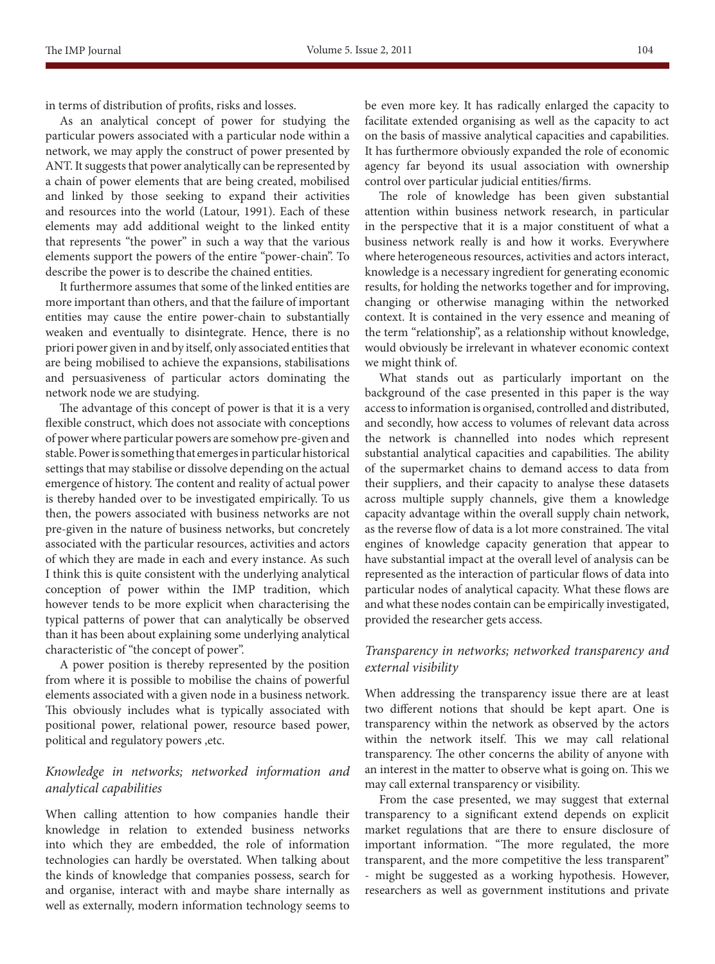in terms of distribution of profits, risks and losses.

As an analytical concept of power for studying the particular powers associated with a particular node within a network, we may apply the construct of power presented by ANT. It suggests that power analytically can be represented by a chain of power elements that are being created, mobilised and linked by those seeking to expand their activities and resources into the world (Latour, 1991). Each of these elements may add additional weight to the linked entity that represents "the power" in such a way that the various elements support the powers of the entire "power-chain". To describe the power is to describe the chained entities.

It furthermore assumes that some of the linked entities are more important than others, and that the failure of important entities may cause the entire power-chain to substantially weaken and eventually to disintegrate. Hence, there is no priori power given in and by itself, only associated entities that are being mobilised to achieve the expansions, stabilisations and persuasiveness of particular actors dominating the network node we are studying.

The advantage of this concept of power is that it is a very flexible construct, which does not associate with conceptions of power where particular powers are somehow pre-given and stable. Power is something that emerges in particular historical settings that may stabilise or dissolve depending on the actual emergence of history. The content and reality of actual power is thereby handed over to be investigated empirically. To us then, the powers associated with business networks are not pre-given in the nature of business networks, but concretely associated with the particular resources, activities and actors of which they are made in each and every instance. As such I think this is quite consistent with the underlying analytical conception of power within the IMP tradition, which however tends to be more explicit when characterising the typical patterns of power that can analytically be observed than it has been about explaining some underlying analytical characteristic of "the concept of power".

A power position is thereby represented by the position from where it is possible to mobilise the chains of powerful elements associated with a given node in a business network. This obviously includes what is typically associated with positional power, relational power, resource based power, political and regulatory powers ,etc.

# *Knowledge in networks; networked information and analytical capabilities*

When calling attention to how companies handle their knowledge in relation to extended business networks into which they are embedded, the role of information technologies can hardly be overstated. When talking about the kinds of knowledge that companies possess, search for and organise, interact with and maybe share internally as well as externally, modern information technology seems to

be even more key. It has radically enlarged the capacity to facilitate extended organising as well as the capacity to act on the basis of massive analytical capacities and capabilities. It has furthermore obviously expanded the role of economic agency far beyond its usual association with ownership control over particular judicial entities/firms.

The role of knowledge has been given substantial attention within business network research, in particular in the perspective that it is a major constituent of what a business network really is and how it works. Everywhere where heterogeneous resources, activities and actors interact, knowledge is a necessary ingredient for generating economic results, for holding the networks together and for improving, changing or otherwise managing within the networked context. It is contained in the very essence and meaning of the term "relationship", as a relationship without knowledge, would obviously be irrelevant in whatever economic context we might think of.

What stands out as particularly important on the background of the case presented in this paper is the way access to information is organised, controlled and distributed, and secondly, how access to volumes of relevant data across the network is channelled into nodes which represent substantial analytical capacities and capabilities. The ability of the supermarket chains to demand access to data from their suppliers, and their capacity to analyse these datasets across multiple supply channels, give them a knowledge capacity advantage within the overall supply chain network, as the reverse flow of data is a lot more constrained. The vital engines of knowledge capacity generation that appear to have substantial impact at the overall level of analysis can be represented as the interaction of particular flows of data into particular nodes of analytical capacity. What these flows are and what these nodes contain can be empirically investigated, provided the researcher gets access.

## *Transparency in networks; networked transparency and external visibility*

When addressing the transparency issue there are at least two different notions that should be kept apart. One is transparency within the network as observed by the actors within the network itself. This we may call relational transparency. The other concerns the ability of anyone with an interest in the matter to observe what is going on. This we may call external transparency or visibility.

From the case presented, we may suggest that external transparency to a significant extend depends on explicit market regulations that are there to ensure disclosure of important information. "The more regulated, the more transparent, and the more competitive the less transparent" - might be suggested as a working hypothesis. However, researchers as well as government institutions and private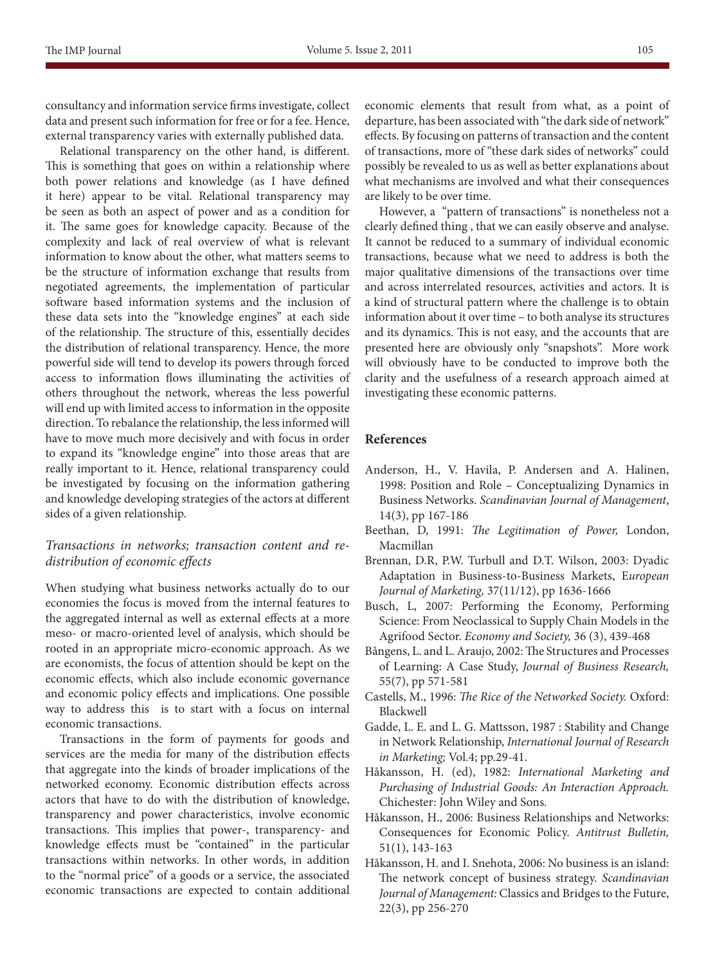consultancy and information service firms investigate, collect data and present such information for free or for a fee. Hence, external transparency varies with externally published data.

Relational transparency on the other hand, is different. This is something that goes on within a relationship where both power relations and knowledge (as I have defined it here) appear to be vital. Relational transparency may be seen as both an aspect of power and as a condition for it. The same goes for knowledge capacity. Because of the complexity and lack of real overview of what is relevant information to know about the other, what matters seems to be the structure of information exchange that results from negotiated agreements, the implementation of particular software based information systems and the inclusion of these data sets into the "knowledge engines" at each side of the relationship. The structure of this, essentially decides the distribution of relational transparency. Hence, the more powerful side will tend to develop its powers through forced access to information flows illuminating the activities of others throughout the network, whereas the less powerful will end up with limited access to information in the opposite direction. To rebalance the relationship, the less informed will have to move much more decisively and with focus in order to expand its "knowledge engine" into those areas that are really important to it. Hence, relational transparency could be investigated by focusing on the information gathering and knowledge developing strategies of the actors at different sides of a given relationship.

# *Transactions in networks; transaction content and redistribution of economic effects*

When studying what business networks actually do to our economies the focus is moved from the internal features to the aggregated internal as well as external effects at a more meso- or macro-oriented level of analysis, which should be rooted in an appropriate micro-economic approach. As we are economists, the focus of attention should be kept on the economic effects, which also include economic governance and economic policy effects and implications. One possible way to address this is to start with a focus on internal economic transactions.

Transactions in the form of payments for goods and services are the media for many of the distribution effects that aggregate into the kinds of broader implications of the networked economy. Economic distribution effects across actors that have to do with the distribution of knowledge, transparency and power characteristics, involve economic transactions. This implies that power-, transparency- and knowledge effects must be "contained" in the particular transactions within networks. In other words, in addition to the "normal price" of a goods or a service, the associated economic transactions are expected to contain additional economic elements that result from what, as a point of departure, has been associated with "the dark side of network" effects. By focusing on patterns of transaction and the content of transactions, more of "these dark sides of networks" could possibly be revealed to us as well as better explanations about what mechanisms are involved and what their consequences are likely to be over time.

However, a "pattern of transactions" is nonetheless not a clearly defined thing , that we can easily observe and analyse. It cannot be reduced to a summary of individual economic transactions, because what we need to address is both the major qualitative dimensions of the transactions over time and across interrelated resources, activities and actors. It is a kind of structural pattern where the challenge is to obtain information about it over time – to both analyse its structures and its dynamics. This is not easy, and the accounts that are presented here are obviously only "snapshots". More work will obviously have to be conducted to improve both the clarity and the usefulness of a research approach aimed at investigating these economic patterns.

#### **References**

- Anderson, H., V. Havila, P. Andersen and A. Halinen, 1998: Position and Role – Conceptualizing Dynamics in Business Networks. *Scandinavian Journal of Management*, 14(3), pp 167-186
- Beethan, D, 1991: *The Legitimation of Power,* London, Macmillan
- Brennan, D.R, P.W. Turbull and D.T. Wilson, 2003: Dyadic Adaptation in Business-to-Business Markets, E*uropean Journal of Marketing,* 37(11/12), pp 1636-1666
- Busch, L, 2007: Performing the Economy, Performing Science: From Neoclassical to Supply Chain Models in the Agrifood Sector. *Economy and Society,* 36 (3), 439-468
- Bångens, L. and L. Araujo, 2002: The Structures and Processes of Learning: A Case Study, *Journal of Business Research,*  55(7), pp 571-581
- Castells, M., 1996: *The Rice of the Networked Society.* Oxford: Blackwell
- Gadde, L. E. and L. G. Mattsson, 1987 : Stability and Change in Network Relationship, *International Journal of Research in Marketing;* Vol.4; pp.29-41.
- Håkansson, H. (ed), 1982: *International Marketing and Purchasing of Industrial Goods: An Interaction Approach.*  Chichester: John Wiley and Sons.
- Håkansson, H., 2006: Business Relationships and Networks: Consequences for Economic Policy. *Antitrust Bulletin,*  51(1), 143-163
- Håkansson, H. and I. Snehota, 2006: No business is an island: The network concept of business strategy. *Scandinavian Journal of Management:* Classics and Bridges to the Future, 22(3), pp 256-270